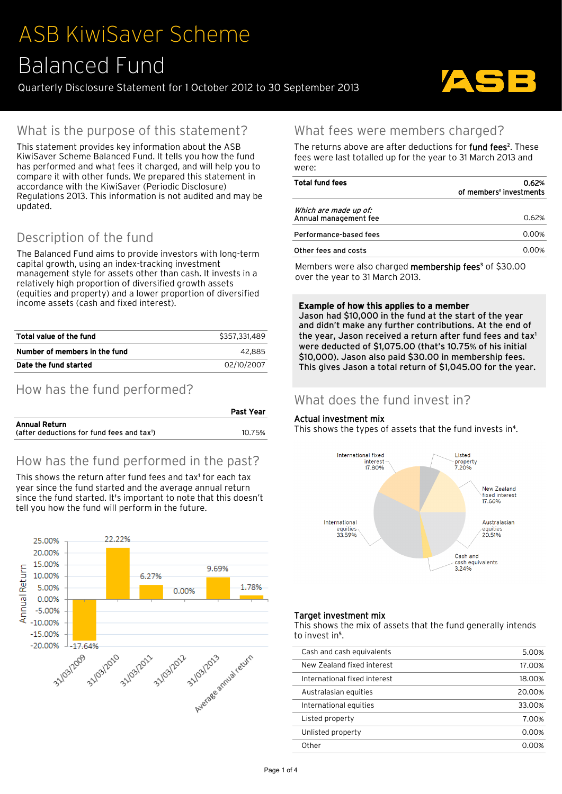# ASB KiwiSaver Scheme Balanced Fund

Quarterly Disclosure Statement for 1 October 2012 to 30 September 2013



# What is the purpose of this statement?

This statement provides key information about the ASB KiwiSaver Scheme Balanced Fund. It tells you how the fund has performed and what fees it charged, and will help you to compare it with other funds. We prepared this statement in accordance with the KiwiSaver (Periodic Disclosure) Regulations 2013. This information is not audited and may be updated.

# Description of the fund

The Balanced Fund aims to provide investors with long-term capital growth, using an index-tracking investment management style for assets other than cash. It invests in a relatively high proportion of diversified growth assets (equities and property) and a lower proportion of diversified income assets (cash and fixed interest).

| Total value of the fund       | \$357.331.489 |
|-------------------------------|---------------|
| Number of members in the fund | 42.885        |
| Date the fund started         | 02/10/2007    |

# How has the fund performed?

|                                                        | Past Year |
|--------------------------------------------------------|-----------|
| Annual Return                                          |           |
| (after deductions for fund fees and $\text{tax}^{1}$ ) | 10.75%    |

# How has the fund performed in the past?

This shows the return after fund fees and tax<sup>1</sup> for each tax year since the fund started and the average annual return since the fund started. It's important to note that this doesn't tell you how the fund will perform in the future.



## What fees were members charged?

The returns above are after deductions for **fund fees**<sup>2</sup>. These fees were last totalled up for the year to 31 March 2013 and were:

| Total fund fees                                | 0.62%<br>of members' investments |  |  |
|------------------------------------------------|----------------------------------|--|--|
| Which are made up of:<br>Annual management fee | 0.62%                            |  |  |
| Performance-based fees                         | 0.00%                            |  |  |
| Other fees and costs                           | 0.00%                            |  |  |

Members were also charged **membership fees**<sup>3</sup> of \$30.00 over the year to 31 March 2013.

### Example of how this applies to a member

Jason had \$10,000 in the fund at the start of the year and didn't make any further contributions. At the end of the year, Jason received a return after fund fees and tax<sup>1</sup> were deducted of \$1,075.00 (that's 10.75% of his initial \$10,000). Jason also paid \$30.00 in membership fees. This gives Jason a total return of \$1,045.00 for the year.

### What does the fund invest in?

### Actual investment mix

This shows the types of assets that the fund invests in<sup>4</sup>.



### Target investment mix

This shows the mix of assets that the fund generally intends to invest in<sup>5</sup>.

| Cash and cash equivalents    | 5.00%  |
|------------------------------|--------|
| New Zealand fixed interest   | 17.00% |
| International fixed interest | 18.00% |
| Australasian equities        | 20.00% |
| International equities       | 33.00% |
| Listed property              | 7.00%  |
| Unlisted property            | 0.00%  |
| Other                        | በበ%    |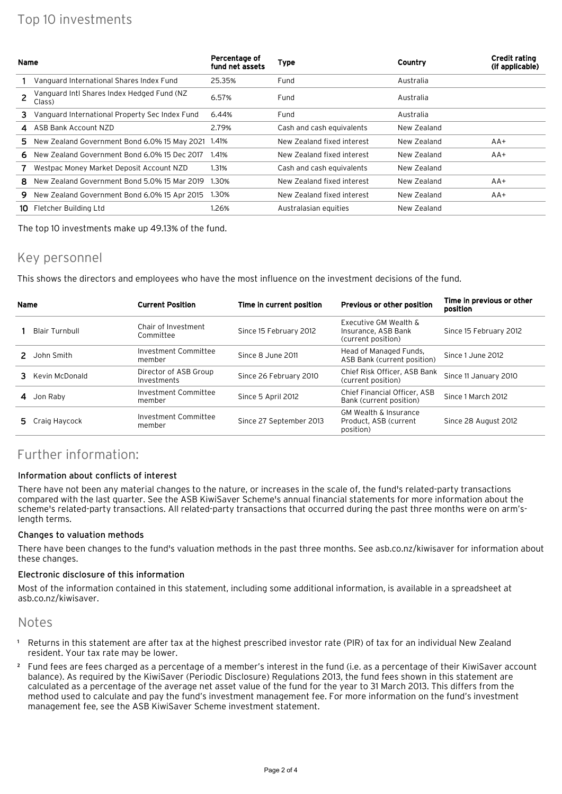# Top 10 investments

| Name |                                                      | Percentage of<br>fund net assets | <b>Type</b>                | Country     | <b>Credit rating</b><br>(if applicable) |
|------|------------------------------------------------------|----------------------------------|----------------------------|-------------|-----------------------------------------|
|      | Vanguard International Shares Index Fund             | 25.35%                           | Fund                       | Australia   |                                         |
|      | Vanguard Intl Shares Index Hedged Fund (NZ<br>Class) | 6.57%                            | Fund                       | Australia   |                                         |
| 3.   | Vanguard International Property Sec Index Fund       | 6.44%                            | Fund                       | Australia   |                                         |
| 4    | ASB Bank Account NZD                                 | 2.79%                            | Cash and cash equivalents  | New Zealand |                                         |
| 5.   | New Zealand Government Bond 6.0% 15 May 2021         | 1.41%                            | New Zealand fixed interest | New Zealand | $AA+$                                   |
| 6.   | New Zealand Government Bond 6.0% 15 Dec 2017         | 1.41%                            | New Zealand fixed interest | New Zealand | AA+                                     |
|      | Westpac Money Market Deposit Account NZD             | 1.31%                            | Cash and cash equivalents  | New Zealand |                                         |
| 8.   | New Zealand Government Bond 5.0% 15 Mar 2019         | 1.30%                            | New Zealand fixed interest | New Zealand | AA+                                     |
| 9    | New Zealand Government Bond 6.0% 15 Apr 2015         | 1.30%                            | New Zealand fixed interest | New Zealand | $AA+$                                   |
| 10   | Fletcher Building Ltd                                | 1.26%                            | Australasian equities      | New Zealand |                                         |

The top 10 investments make up 49.13% of the fund.

### Key personnel

This shows the directors and employees who have the most influence on the investment decisions of the fund.

| Name |                 | <b>Current Position</b>              | Time in current position | <b>Previous or other position</b>                                      | Time in previous or other<br>position |
|------|-----------------|--------------------------------------|--------------------------|------------------------------------------------------------------------|---------------------------------------|
|      | Blair Turnbull  | Chair of Investment<br>Committee     | Since 15 February 2012   | Executive GM Wealth &<br>Insurance, ASB Bank<br>(current position)     | Since 15 February 2012                |
|      | John Smith      | Investment Committee<br>member       | Since 8 June 2011        | Head of Managed Funds,<br>ASB Bank (current position)                  | Since 1 June 2012                     |
|      | Kevin McDonald  | Director of ASB Group<br>Investments | Since 26 February 2010   | Chief Risk Officer, ASB Bank<br>(current position)                     | Since 11 January 2010                 |
|      | Jon Raby        | Investment Committee<br>member       | Since 5 April 2012       | Chief Financial Officer, ASB<br>Bank (current position)                | Since 1 March 2012                    |
|      | 5 Craig Haycock | Investment Committee<br>member       | Since 27 September 2013  | <b>GM Wealth &amp; Insurance</b><br>Product, ASB (current<br>position) | Since 28 August 2012                  |

# Further information:

### Information about conflicts of interest

There have not been any material changes to the nature, or increases in the scale of, the fund's related-party transactions compared with the last quarter. See the ASB KiwiSaver Scheme's annual financial statements for more information about the scheme's related-party transactions. All related-party transactions that occurred during the past three months were on arm'slength terms.

#### Changes to valuation methods

There have been changes to the fund's valuation methods in the past three months. See [asb.co.nz/kiwisaver f](https://www.asb.co.nz/kiwisaver/fund-reporting/investmentPerformance.asp#3)or information about these changes.

#### Electronic disclosure of this information

Most of the information contained in this statement, including some additional information, is available in a spreadsheet at [asb.co.nz/kiwisaver.](https://www.asb.co.nz/kiwisaver/downloads/periodic-disclosure/2013/Balanced_Fund/Balanced_Fund_September_Quarter.csv)

### Notes

- <sup>1</sup> Returns in this statement are after tax at the highest prescribed investor rate (PIR) of tax for an individual New Zealand resident. Your tax rate may be lower.
- ² Fund fees are fees charged as a percentage of a member's interest in the fund (i.e. as a percentage of their KiwiSaver account balance). As required by the KiwiSaver (Periodic Disclosure) Regulations 2013, the fund fees shown in this statement are calculated as a percentage of the average net asset value of the fund for the year to 31 March 2013. This differs from the method used to calculate and pay the fund's investment management fee. For more information on the fund's investment management fee, see the ASB KiwiSaver Scheme investment statement.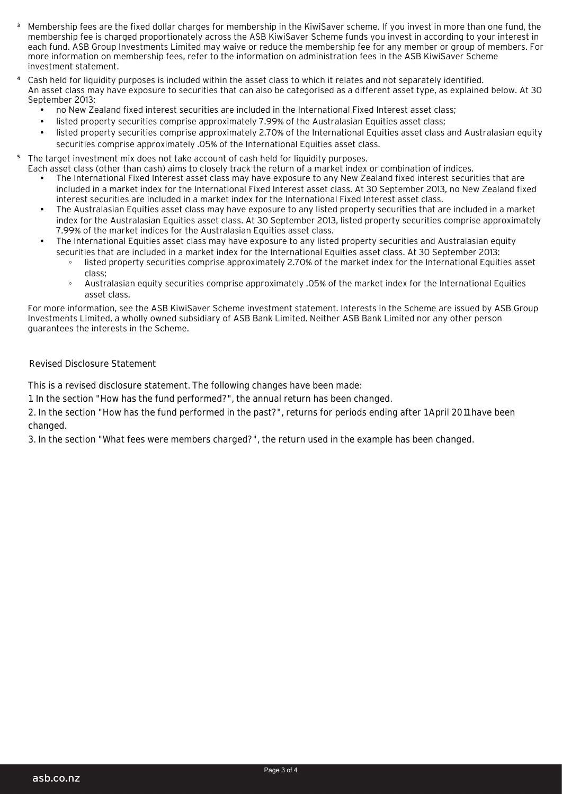- ³ Membership fees are the fixed dollar charges for membership in the KiwiSaver scheme. If you invest in more than one fund, the membership fee is charged proportionately across the ASB KiwiSaver Scheme funds you invest in according to your interest in each fund. ASB Group Investments Limited may waive or reduce the membership fee for any member or group of members. For more information on membership fees, refer to the information on administration fees in the ASB KiwiSaver Scheme investment statement.
- Cash held for liquidity purposes is included within the asset class to which it relates and not separately identified. An asset class may have exposure to securities that can also be categorised as a different asset type, as explained below. At 30 September 2013:
	- no New Zealand fixed interest securities are included in the International Fixed Interest asset class;
	- listed property securities comprise approximately 7.99% of the Australasian Equities asset class;
	- listed property securities comprise approximately 2.70% of the International Equities asset class and Australasian equity securities comprise approximately .05% of the International Equities asset class.
- <sup>5</sup> The target investment mix does not take account of cash held for liquidity purposes.
	- Each asset class (other than cash) aims to closely track the return of a market index or combination of indices. • The International Fixed Interest asset class may have exposure to any New Zealand fixed interest securities that are included in a market index for the International Fixed Interest asset class. At 30 September 2013, no New Zealand fixed interest securities are included in a market index for the International Fixed Interest asset class.
		- The Australasian Equities asset class may have exposure to any listed property securities that are included in a market index for the Australasian Equities asset class. At 30 September 2013, listed property securities comprise approximately 7.99% of the market indices for the Australasian Equities asset class.
		- The International Equities asset class may have exposure to any listed property securities and Australasian equity securities that are included in a market index for the International Equities asset class. At 30 September 2013:
			- listed property securities comprise approximately 2.70% of the market index for the International Equities asset class;
			- ƕ Australasian equity securities comprise approximately .05% of the market index for the International Equities asset class.

For more information, see the ASB KiwiSaver Scheme investment statement. Interests in the Scheme are issued by ASB Group Investments Limited, a wholly owned subsidiary of ASB Bank Limited. Neither ASB Bank Limited nor any other person guarantees the interests in the Scheme.

### Revised Disclosure Statement

This is a revised disclosure statement. The following changes have been made:

1. In the section "How has the fund performed?", the annual return has been changed.

2. In the section "How has the fund performed in the past?", returns for periods ending after 1 April 2011 have been changed.

3. In the section "What fees were members charged?", the return used in the example has been changed.